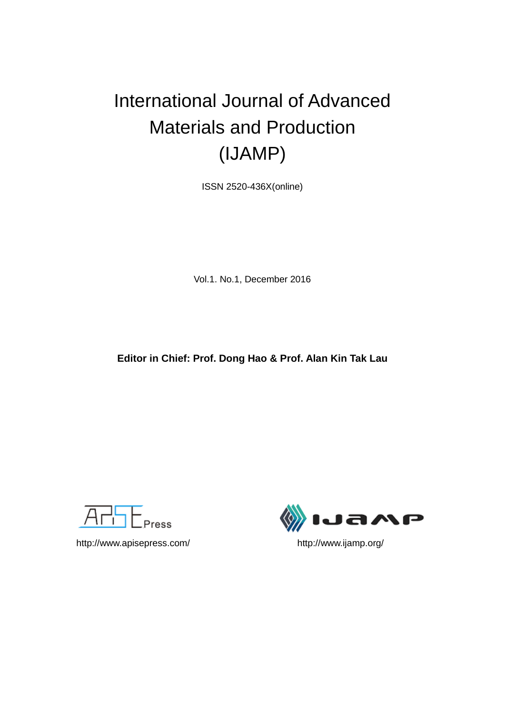# International Journal of Advanced Materials and Production (IJAMP)

ISSN 2520-436X(online)

Vol.1. No.1, December 2016

**Editor in Chief: Prof. Dong Hao & Prof. Alan Kin Tak Lau**



http://www.apisepress.com/ http://www.ijamp.org/

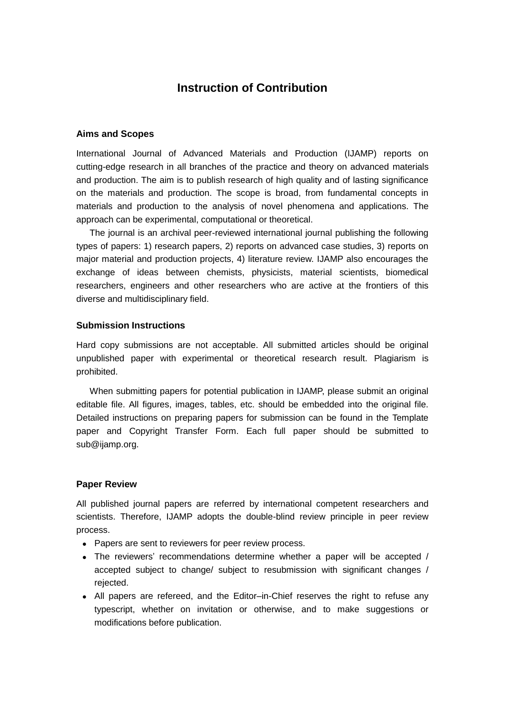## **Instruction of Contribution**

#### **Aims and Scopes**

International Journal of Advanced Materials and Production (IJAMP) reports on cutting-edge research in all branches of the practice and theory on advanced materials and production. The aim is to publish research of high quality and of lasting significance on the materials and production. The scope is broad, from fundamental concepts in materials and production to the analysis of novel phenomena and applications. The approach can be experimental, computational or theoretical.

The journal is an archival peer-reviewed international journal publishing the following types of papers: 1) research papers, 2) reports on advanced case studies, 3) reports on major material and production projects, 4) literature review. IJAMP also encourages the exchange of ideas between chemists, physicists, material scientists, biomedical researchers, engineers and other researchers who are active at the frontiers of this diverse and multidisciplinary field.

#### **Submission Instructions**

Hard copy submissions are not acceptable. All submitted articles should be original unpublished paper with experimental or theoretical research result. Plagiarism is prohibited.

When submitting papers for potential publication in IJAMP, please submit an original editable file. All figures, images, tables, etc. should be embedded into the original file. Detailed instructions on preparing papers for submission can be found in the Template paper and Copyright Transfer Form. Each full paper should be submitted to sub@ijamp.org.

#### **Paper Review**

All published journal papers are referred by international competent researchers and scientists. Therefore, IJAMP adopts the double-blind review principle in peer review process.

- Papers are sent to reviewers for peer review process.
- The reviewers' recommendations determine whether a paper will be accepted / accepted subject to change/ subject to resubmission with significant changes / rejected.
- All papers are refereed, and the Editor–in-Chief reserves the right to refuse any typescript, whether on invitation or otherwise, and to make suggestions or modifications before publication.